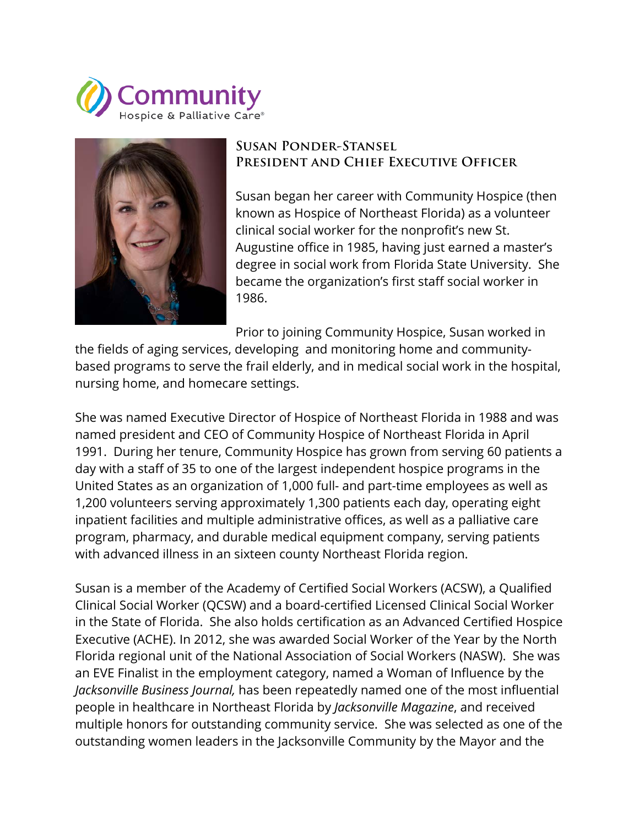



## **Susan Ponder-Stansel President and Chief Executive Officer**

Susan began her career with Community Hospice (then known as Hospice of Northeast Florida) as a volunteer clinical social worker for the nonprofit's new St. Augustine office in 1985, having just earned a master's degree in social work from Florida State University. She became the organization's first staff social worker in 1986.

Prior to joining Community Hospice, Susan worked in the fields of aging services, developing and monitoring home and communitybased programs to serve the frail elderly, and in medical social work in the hospital, nursing home, and homecare settings.

She was named Executive Director of Hospice of Northeast Florida in 1988 and was named president and CEO of Community Hospice of Northeast Florida in April 1991. During her tenure, Community Hospice has grown from serving 60 patients a day with a staff of 35 to one of the largest independent hospice programs in the United States as an organization of 1,000 full- and part-time employees as well as 1,200 volunteers serving approximately 1,300 patients each day, operating eight inpatient facilities and multiple administrative offices, as well as a palliative care program, pharmacy, and durable medical equipment company, serving patients with advanced illness in an sixteen county Northeast Florida region.

Susan is a member of the Academy of Certified Social Workers (ACSW), a Qualified Clinical Social Worker (QCSW) and a board-certified Licensed Clinical Social Worker in the State of Florida. She also holds certification as an Advanced Certified Hospice Executive (ACHE). In 2012, she was awarded Social Worker of the Year by the North Florida regional unit of the National Association of Social Workers (NASW). She was an EVE Finalist in the employment category, named a Woman of Influence by the *Jacksonville Business Journal,* has been repeatedly named one of the most influential people in healthcare in Northeast Florida by *Jacksonville Magazine*, and received multiple honors for outstanding community service. She was selected as one of the outstanding women leaders in the Jacksonville Community by the Mayor and the